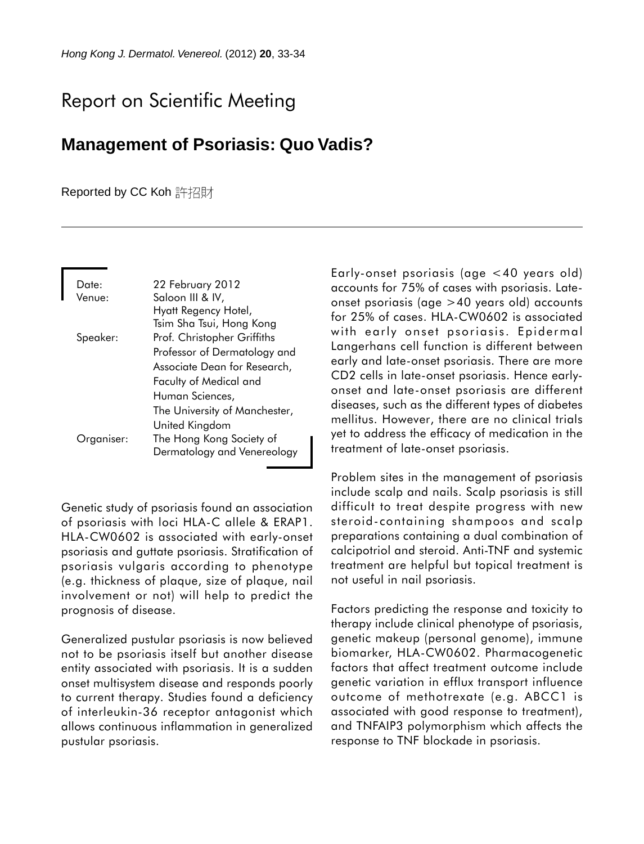## Report on Scientific Meeting

## **Management of Psoriasis: Quo Vadis?**

## Reported by CC Koh 許招財

| Date:      | 22 February 2012              |
|------------|-------------------------------|
| Venue:     | Saloon III & IV,              |
|            | Hyatt Regency Hotel,          |
|            | Tsim Sha Tsui, Hong Kong      |
| Speaker:   | Prof. Christopher Griffiths   |
|            | Professor of Dermatology and  |
|            | Associate Dean for Research,  |
|            | Faculty of Medical and        |
|            | Human Sciences,               |
|            | The University of Manchester, |
|            | United Kingdom                |
| Organiser: | The Hong Kong Society of      |
|            | Dermatology and Venereology   |

Genetic study of psoriasis found an association of psoriasis with loci HLA-C allele & ERAP1. HLA-CW0602 is associated with early-onset psoriasis and guttate psoriasis. Stratification of psoriasis vulgaris according to phenotype (e.g. thickness of plaque, size of plaque, nail involvement or not) will help to predict the prognosis of disease.

Generalized pustular psoriasis is now believed not to be psoriasis itself but another disease entity associated with psoriasis. It is a sudden onset multisystem disease and responds poorly to current therapy. Studies found a deficiency of interleukin-36 receptor antagonist which allows continuous inflammation in generalized pustular psoriasis.

Early-onset psoriasis (age <40 years old) accounts for 75% of cases with psoriasis. Lateonset psoriasis (age >40 years old) accounts for 25% of cases. HLA-CW0602 is associated with early onset psoriasis. Epidermal Langerhans cell function is different between early and late-onset psoriasis. There are more CD2 cells in late-onset psoriasis. Hence earlyonset and late-onset psoriasis are different diseases, such as the different types of diabetes mellitus. However, there are no clinical trials yet to address the efficacy of medication in the treatment of late-onset psoriasis.

Problem sites in the management of psoriasis include scalp and nails. Scalp psoriasis is still difficult to treat despite progress with new steroid-containing shampoos and scalp preparations containing a dual combination of calcipotriol and steroid. Anti-TNF and systemic treatment are helpful but topical treatment is not useful in nail psoriasis.

Factors predicting the response and toxicity to therapy include clinical phenotype of psoriasis, genetic makeup (personal genome), immune biomarker, HLA-CW0602. Pharmacogenetic factors that affect treatment outcome include genetic variation in efflux transport influence outcome of methotrexate (e.g. ABCC1 is associated with good response to treatment), and TNFAIP3 polymorphism which affects the response to TNF blockade in psoriasis.